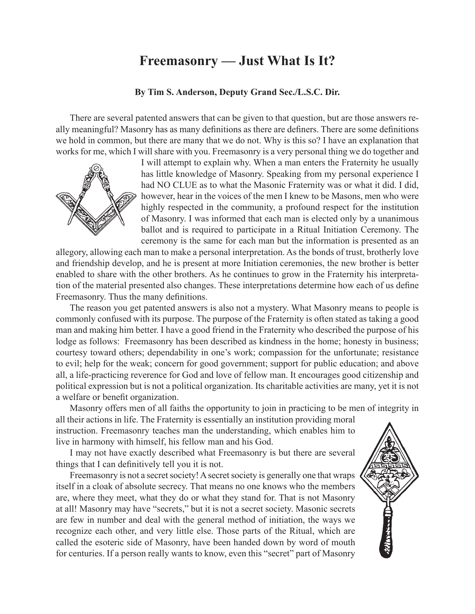## **Freemasonry — Just What Is It?**

## **By Tim S. Anderson, Deputy Grand Sec./L.S.C. Dir.**

There are several patented answers that can be given to that question, but are those answers really meaningful? Masonry has as many definitions as there are definers. There are some definitions we hold in common, but there are many that we do not. Why is this so? I have an explanation that works for me, which I will share with you. Freemasonry is a very personal thing we do together and



I will attempt to explain why. When a man enters the Fraternity he usually has little knowledge of Masonry. Speaking from my personal experience I had NO CLUE as to what the Masonic Fraternity was or what it did. I did, however, hear in the voices of the men I knew to be Masons, men who were highly respected in the community, a profound respect for the institution of Masonry. I was informed that each man is elected only by a unanimous ballot and is required to participate in a Ritual Initiation Ceremony. The ceremony is the same for each man but the information is presented as an

allegory, allowing each man to make a personal interpretation. As the bonds of trust, brotherly love and friendship develop, and he is present at more Initiation ceremonies, the new brother is better enabled to share with the other brothers. As he continues to grow in the Fraternity his interpretation of the material presented also changes. These interpretations determine how each of us define Freemasonry. Thus the many definitions.

The reason you get patented answers is also not a mystery. What Masonry means to people is commonly confused with its purpose. The purpose of the Fraternity is often stated as taking a good man and making him better. I have a good friend in the Fraternity who described the purpose of his lodge as follows: Freemasonry has been described as kindness in the home; honesty in business; courtesy toward others; dependability in one's work; compassion for the unfortunate; resistance to evil; help for the weak; concern for good government; support for public education; and above all, a life‑practicing reverence for God and love of fellow man. It encourages good citizenship and political expression but is not a political organization. Its charitable activities are many, yet it is not a welfare or benefit organization.

Masonry offers men of all faiths the opportunity to join in practicing to be men of integrity in all their actions in life. The Fraternity is essentially an institution providing moral instruction. Freemasonry teaches man the understanding, which enables him to live in harmony with himself, his fellow man and his God.

I may not have exactly described what Freemasonry is but there are several things that I can definitively tell you it is not.

Freemasonry is not a secret society! A secret society is generally one that wraps itself in a cloak of absolute secrecy. That means no one knows who the members are, where they meet, what they do or what they stand for. That is not Masonry at all! Masonry may have "secrets," but it is not a secret society. Masonic secrets are few in number and deal with the general method of initiation, the ways we recognize each other, and very little else. Those parts of the Ritual, which are called the esoteric side of Masonry, have been handed down by word of mouth for centuries. If a person really wants to know, even this "secret" part of Masonry